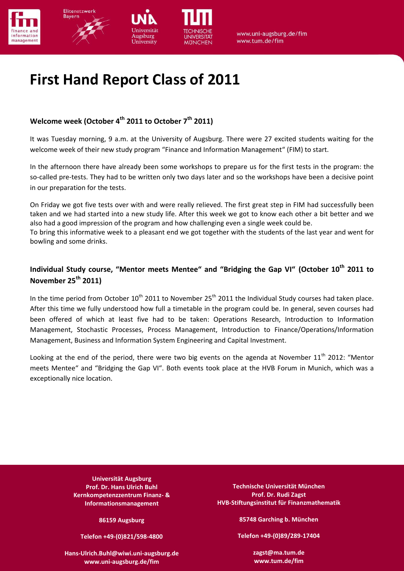





www.uni-augsburg.de/fim www.tum.de/fim

# **First Hand Report Class of 2011**

wesburg

Jniversity

# **Welcome week (October 4th 2011 to October 7th 2011)**

It was Tuesday morning, 9 a.m. at the University of Augsburg. There were 27 excited students waiting for the welcome week of their new study program "Finance and Information Management" (FIM) to start.

In the afternoon there have already been some workshops to prepare us for the first tests in the program: the so-called pre-tests. They had to be written only two days later and so the workshops have been a decisive point in our preparation for the tests.

On Friday we got five tests over with and were really relieved. The first great step in FIM had successfully been taken and we had started into a new study life. After this week we got to know each other a bit better and we also had a good impression of the program and how challenging even a single week could be.

To bring this informative week to a pleasant end we got together with the students of the last year and went for bowling and some drinks.

# **Individual Study course, "Mentor meets Mentee" and "Bridging the Gap VI" (October 10th 2011 to November 25th 2011)**

In the time period from October  $10^{th}$  2011 to November 25<sup>th</sup> 2011 the Individual Study courses had taken place. After this time we fully understood how full a timetable in the program could be. In general, seven courses had been offered of which at least five had to be taken: Operations Research, Introduction to Information Management, Stochastic Processes, Process Management, Introduction to Finance/Operations/Information Management, Business and Information System Engineering and Capital Investment.

Looking at the end of the period, there were two big events on the agenda at November 11<sup>th</sup> 2012: "Mentor meets Mentee" and "Bridging the Gap VI". Both events took place at the HVB Forum in Munich, which was a exceptionally nice location.

> **Universität Augsburg Prof. Dr. Hans Ulrich Buhl Kernkompetenzzentrum Finanz- & Informationsmanagement**

> > **86159 Augsburg**

**Telefon +49-(0)821/598-4800**

**[Hans-Ulrich.Buhl@wiwi.uni-augsburg.de](mailto:Hans-Ulrich.Buhl@wiwi.uni-augsburg.de) www.uni-augsburg.de/fim**

**Technische Universität München Prof. Dr. Rudi Zagst HVB-Stiftungsinstitut für Finanzmathematik**

**85748 Garching b. München**

**Telefon +49-(0)89/289-17404**

**zagst@ma.tum.de www.tum.de/fim**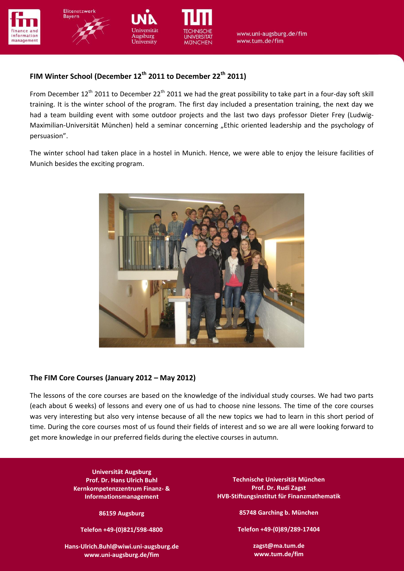





www.uni-augsburg.de/fim www.tum.de/fim

## **FIM Winter School (December 12th 2011 to December 22th 2011)**

wesburg

University

**Informationsmanagement** training. It is the winter school of the program. The first day included a presentation training, the next day we From December  $12^{th}$  2011 to December 22<sup>th</sup> 2011 we had the great possibility to take part in a four-day soft skill had a team building event with some outdoor projects and the last two days professor Dieter Frey (Ludwig-Maximilian-Universität München) held a seminar concerning "Ethic oriented leadership and the psychology of persuasion".

The winter school had taken place in a hostel in Munich. Hence, we were able to enjoy the leisure facilities of Munich besides the exciting program.



#### **The FIM Core Courses (January 2012 – May 2012)**

The lessons of the core courses are based on the knowledge of the individual study courses. We had two parts (each about 6 weeks) of lessons and every one of us had to choose nine lessons. The time of the core courses was very interesting but also very intense because of all the new topics we had to learn in this short period of time. During the core courses most of us found their fields of interest and so we are all were looking forward to get more knowledge in our preferred fields during the elective courses in autumn.

> **Universität Augsburg Prof. Dr. Hans Ulrich Buhl Kernkompetenzzentrum Finanz- & Informationsmanagement**

> > **86159 Augsburg**

**Telefon +49-(0)821/598-4800**

**[Hans-Ulrich.Buhl@wiwi.uni-augsburg.de](mailto:Hans-Ulrich.Buhl@wiwi.uni-augsburg.de) www.uni-augsburg.de/fim**

**Technische Universität München Prof. Dr. Rudi Zagst HVB-Stiftungsinstitut für Finanzmathematik**

**85748 Garching b. München**

**Telefon +49-(0)89/289-17404**

**zagst@ma.tum.de www.tum.de/fim**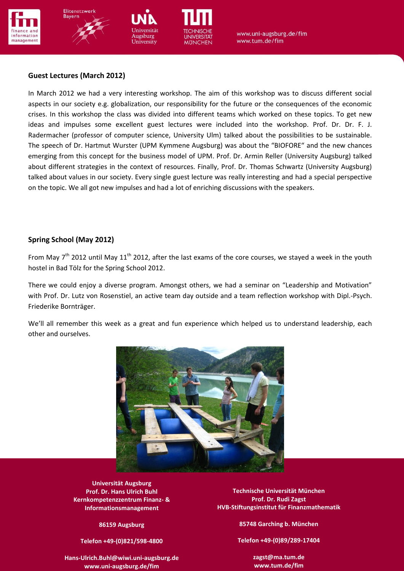





www.uni-augsburg.de/fim www.tum.de/fim

#### **Guest Lectures (March 2012)**

crises. In this workshop the class was divided into different teams which worked on these topics. To get new In March 2012 we had a very interesting workshop. The aim of this workshop was to discuss different social aspects in our society e.g. globalization, our responsibility for the future or the consequences of the economic ideas and impulses some excellent guest lectures were included into the workshop. Prof. Dr. Dr. F. J. Radermacher (professor of computer science, University Ulm) talked about the possibilities to be sustainable. The speech of Dr. Hartmut Wurster (UPM Kymmene Augsburg) was about the "BIOFORE" and the new chances emerging from this concept for the business model of UPM. Prof. Dr. Armin Reller (University Augsburg) talked about different strategies in the context of resources. Finally, Prof. Dr. Thomas Schwartz (University Augsburg) talked about values in our society. Every single guest lecture was really interesting and had a special perspective on the topic. We all got new impulses and had a lot of enriching discussions with the speakers.

#### **Spring School (May 2012)**

From May  $7<sup>th</sup>$  2012 until May 11<sup>th</sup> 2012, after the last exams of the core courses, we stayed a week in the youth hostel in Bad Tölz for the Spring School 2012.

There we could enjoy a diverse program. Amongst others, we had a seminar on "Leadership and Motivation" with Prof. Dr. Lutz von Rosenstiel, an active team day outside and a team reflection workshop with Dipl.-Psych. Friederike Bornträger.

We'll all remember this week as a great and fun experience which helped us to understand leadership, each other and ourselves.



**Proferent Bughtle Burgers Kernett Prof. Dr. Hans Ulrich Buhl Informationsmanagement Kernkompetenzzentrum Finanz- & 86159 Augsburg Informationsmanagement**

**Telefon +49-(0)821/598-4800 86159 Augsburg**

**Telefon +49-(0)821/598-4800**

**www.uni-augsburg.de/fim [Hans-Ulrich.Buhl@wiwi.uni-augsburg.de](mailto:Hans-Ulrich.Buhl@wiwi.uni-augsburg.de) www.uni-augsburg.de/fim**

**Prof. Dr. Rudi Zagst Technische Universität München HVB-Stiftungsinstitut für Finanzmathematik für Finanzmathematikk in Finanzmathematikk in Finanzmathematikk in 85748 Garching b. München HVB-Stiftungsinstitut für Finanzmathematik**

> **Telefon +49-(0)89/289-17404 85748 Garching b. München**

**Telefon +49-(0)89/289-17404**

**www.tum.de/fim zagst@ma.tum.de www.tum.de/fim**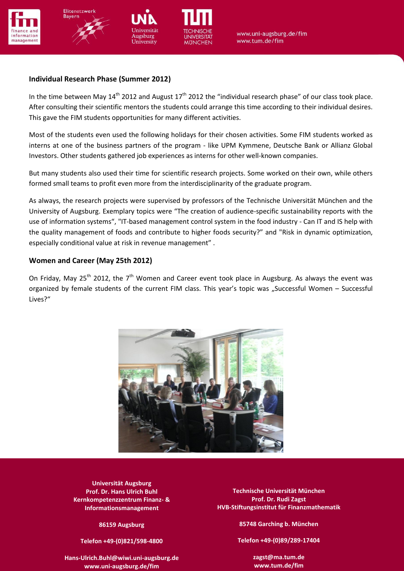



Augsburg

University



www.uni-augsburg.de/fim www.tum.de/fim

## **Individual Research Phase (Summer 2012)**

After consulting their scientific mentors the students could arrange this time according to their individual desires. In the time between May  $14<sup>th</sup>$  2012 and August 17<sup>th</sup> 2012 the "individual research phase" of our class took place. This gave the FIM students opportunities for many different activities.

Most of the students even used the following holidays for their chosen activities. Some FIM students worked as interns at one of the business partners of the program - like UPM Kymmene, Deutsche Bank or Allianz Global Investors. Other students gathered job experiences as interns for other well-known companies.

But many students also used their time for scientific research projects. Some worked on their own, while others formed small teams to profit even more from the interdisciplinarity of the graduate program.

As always, the research projects were supervised by professors of the Technische Universität München and the University of Augsburg. Exemplary topics were "The creation of audience-specific sustainability reports with the use of information systems", "IT-based management control system in the food industry - Can IT and IS help with the quality management of foods and contribute to higher foods security?" and "Risk in dynamic optimization, especially conditional value at risk in revenue management" .

## **Women and Career (May 25th 2012)**

On Friday, May 25<sup>th</sup> 2012, the 7<sup>th</sup> Women and Career event took place in Augsburg. As always the event was organized by female students of the current FIM class. This year's topic was "Successful Women - Successful Lives?"



**Prof. Dr. Hans Ulrich Buhl Universität Augsburg** Four successful women from different companies were available for the discussion of this topic. **Kernett Prof. Dr. Hans Ulrich Buhl Informationsmanagement Kernkompetenzzentrum Finanz- & 86159 Augsburg Informationsmanagement**

> **Telefon +49-(0)821/598-4800 86159 Augsburg**

**Telefon +49-(0)821/598-4800**

**www.uni-augsburg.de/fim [Hans-Ulrich.Buhl@wiwi.uni-augsburg.de](mailto:Hans-Ulrich.Buhl@wiwi.uni-augsburg.de) www.uni-augsburg.de/fim**

**Prof. Dr. Rudi Zagstad discussion the official discussion the opportunity to use the participants had the part<br>After the opportunity to use the participants had the participants had the following get-together to talk to t HVB-Stiftungsinstitut für Finanzmathematik für Finanzmathematikk in Finanzmathematikk in Finanzmathematikk in 85748 Garching b. München** nen speakers in a more private atmosphere atmosphere and get clarifications in a more private atmosphere atmosp<br>**https://www.informationsmanagement** by the strip of the set of the strip of the strip of the strip of the str

> **Telefon +49-(0)89/289-17404 85748 Garching b. München**

**Telefon +49-(0)89/289-17404**

**www.tum.de/fim zagst@ma.tum.de www.tum.de/fim**